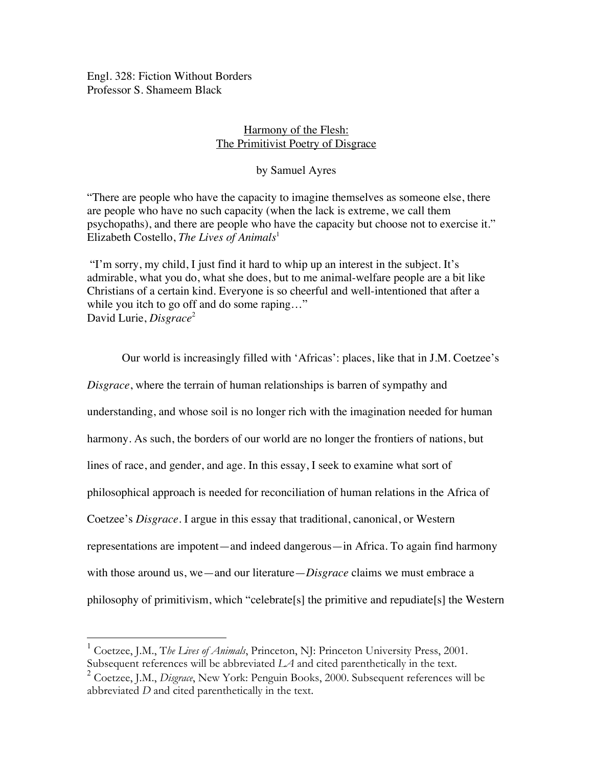Engl. 328: Fiction Without Borders Professor S. Shameem Black

# Harmony of the Flesh: The Primitivist Poetry of Disgrace

# by Samuel Ayres

"There are people who have the capacity to imagine themselves as someone else, there are people who have no such capacity (when the lack is extreme, we call them psychopaths), and there are people who have the capacity but choose not to exercise it." Elizabeth Costello, *The Lives of Animals*<sup>1</sup>

 "I'm sorry, my child, I just find it hard to whip up an interest in the subject. It's admirable, what you do, what she does, but to me animal-welfare people are a bit like Christians of a certain kind. Everyone is so cheerful and well-intentioned that after a while you itch to go off and do some raping..." David Lurie, *Disgrace*<sup>2</sup>

Our world is increasingly filled with 'Africas': places, like that in J.M. Coetzee's *Disgrace*, where the terrain of human relationships is barren of sympathy and understanding, and whose soil is no longer rich with the imagination needed for human harmony. As such, the borders of our world are no longer the frontiers of nations, but lines of race, and gender, and age. In this essay, I seek to examine what sort of philosophical approach is needed for reconciliation of human relations in the Africa of Coetzee's *Disgrace*. I argue in this essay that traditional, canonical, or Western representations are impotent—and indeed dangerous—in Africa. To again find harmony with those around us, we—and our literature—*Disgrace* claims we must embrace a philosophy of primitivism, which "celebrate[s] the primitive and repudiate[s] the Western

 <sup>1</sup> Coetzee, J.M., T*he Lives of Animals*, Princeton, NJ: Princeton University Press, 2001. Subsequent references will be abbreviated *LA* and cited parenthetically in the text.

<sup>2</sup> Coetzee, J.M., *Disgrace*, New York: Penguin Books, 2000. Subsequent references will be abbreviated *D* and cited parenthetically in the text.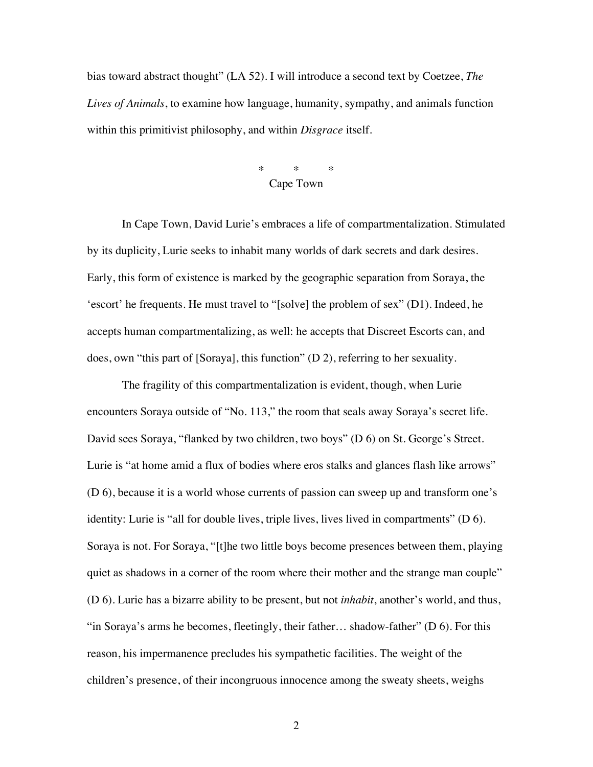bias toward abstract thought" (LA 52). I will introduce a second text by Coetzee, *The Lives of Animals*, to examine how language, humanity, sympathy, and animals function within this primitivist philosophy, and within *Disgrace* itself.

### \* \* \* Cape Town

In Cape Town, David Lurie's embraces a life of compartmentalization. Stimulated by its duplicity, Lurie seeks to inhabit many worlds of dark secrets and dark desires. Early, this form of existence is marked by the geographic separation from Soraya, the 'escort' he frequents. He must travel to "[solve] the problem of sex" (D1). Indeed, he accepts human compartmentalizing, as well: he accepts that Discreet Escorts can, and does, own "this part of [Soraya], this function" (D 2), referring to her sexuality.

The fragility of this compartmentalization is evident, though, when Lurie encounters Soraya outside of "No. 113," the room that seals away Soraya's secret life. David sees Soraya, "flanked by two children, two boys" (D 6) on St. George's Street. Lurie is "at home amid a flux of bodies where eros stalks and glances flash like arrows" (D 6), because it is a world whose currents of passion can sweep up and transform one's identity: Lurie is "all for double lives, triple lives, lives lived in compartments" (D 6). Soraya is not. For Soraya, "[t]he two little boys become presences between them, playing quiet as shadows in a corner of the room where their mother and the strange man couple" (D 6). Lurie has a bizarre ability to be present, but not *inhabit*, another's world, and thus, "in Soraya's arms he becomes, fleetingly, their father... shadow-father" ( $D\ 6$ ). For this reason, his impermanence precludes his sympathetic facilities. The weight of the children's presence, of their incongruous innocence among the sweaty sheets, weighs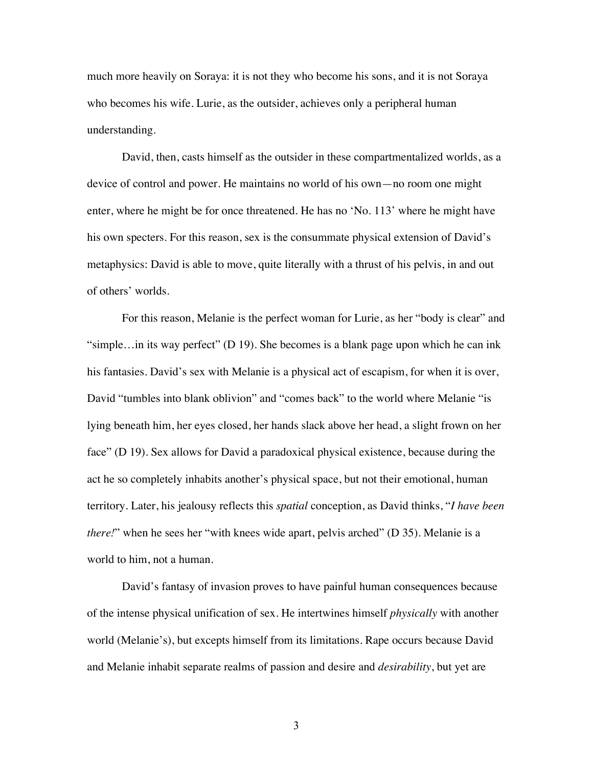much more heavily on Soraya: it is not they who become his sons, and it is not Soraya who becomes his wife. Lurie, as the outsider, achieves only a peripheral human understanding.

David, then, casts himself as the outsider in these compartmentalized worlds, as a device of control and power. He maintains no world of his own—no room one might enter, where he might be for once threatened. He has no 'No. 113' where he might have his own specters. For this reason, sex is the consummate physical extension of David's metaphysics: David is able to move, quite literally with a thrust of his pelvis, in and out of others' worlds.

For this reason, Melanie is the perfect woman for Lurie, as her "body is clear" and "simple…in its way perfect" (D 19). She becomes is a blank page upon which he can ink his fantasies. David's sex with Melanie is a physical act of escapism, for when it is over, David "tumbles into blank oblivion" and "comes back" to the world where Melanie "is lying beneath him, her eyes closed, her hands slack above her head, a slight frown on her face" (D 19). Sex allows for David a paradoxical physical existence, because during the act he so completely inhabits another's physical space, but not their emotional, human territory. Later, his jealousy reflects this *spatial* conception, as David thinks, "*I have been there!*" when he sees her "with knees wide apart, pelvis arched" (D 35). Melanie is a world to him, not a human.

David's fantasy of invasion proves to have painful human consequences because of the intense physical unification of sex. He intertwines himself *physically* with another world (Melanie's), but excepts himself from its limitations. Rape occurs because David and Melanie inhabit separate realms of passion and desire and *desirability*, but yet are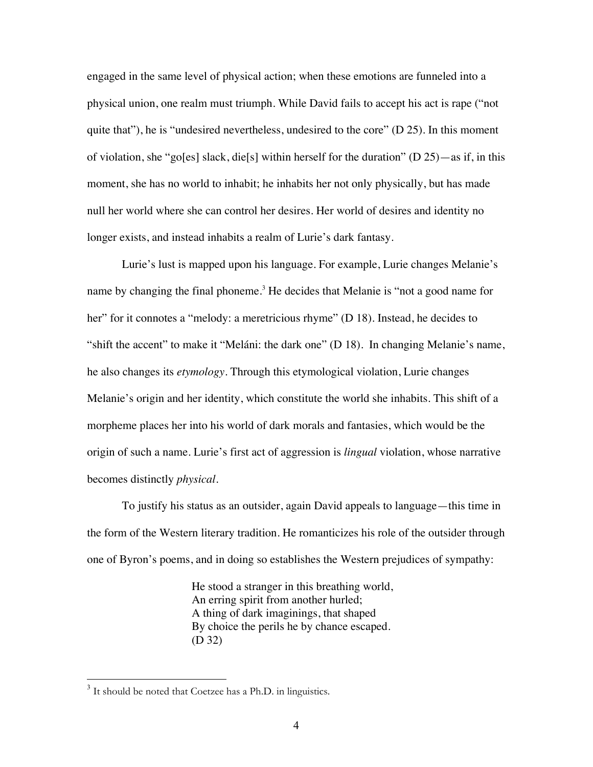engaged in the same level of physical action; when these emotions are funneled into a physical union, one realm must triumph. While David fails to accept his act is rape ("not quite that"), he is "undesired nevertheless, undesired to the core"  $(D 25)$ . In this moment of violation, she "go[es] slack, die[s] within herself for the duration" (D 25)—as if, in this moment, she has no world to inhabit; he inhabits her not only physically, but has made null her world where she can control her desires. Her world of desires and identity no longer exists, and instead inhabits a realm of Lurie's dark fantasy.

Lurie's lust is mapped upon his language. For example, Lurie changes Melanie's name by changing the final phoneme.<sup>3</sup> He decides that Melanie is "not a good name for her" for it connotes a "melody: a meretricious rhyme" (D 18). Instead, he decides to "shift the accent" to make it "Meláni: the dark one" (D 18). In changing Melanie's name, he also changes its *etymology*. Through this etymological violation, Lurie changes Melanie's origin and her identity, which constitute the world she inhabits. This shift of a morpheme places her into his world of dark morals and fantasies, which would be the origin of such a name. Lurie's first act of aggression is *lingual* violation, whose narrative becomes distinctly *physical*.

To justify his status as an outsider, again David appeals to language—this time in the form of the Western literary tradition. He romanticizes his role of the outsider through one of Byron's poems, and in doing so establishes the Western prejudices of sympathy:

> He stood a stranger in this breathing world, An erring spirit from another hurled; A thing of dark imaginings, that shaped By choice the perils he by chance escaped. (D 32)

<sup>&</sup>lt;sup>3</sup>  $3$  It should be noted that Coetzee has a Ph.D. in linguistics.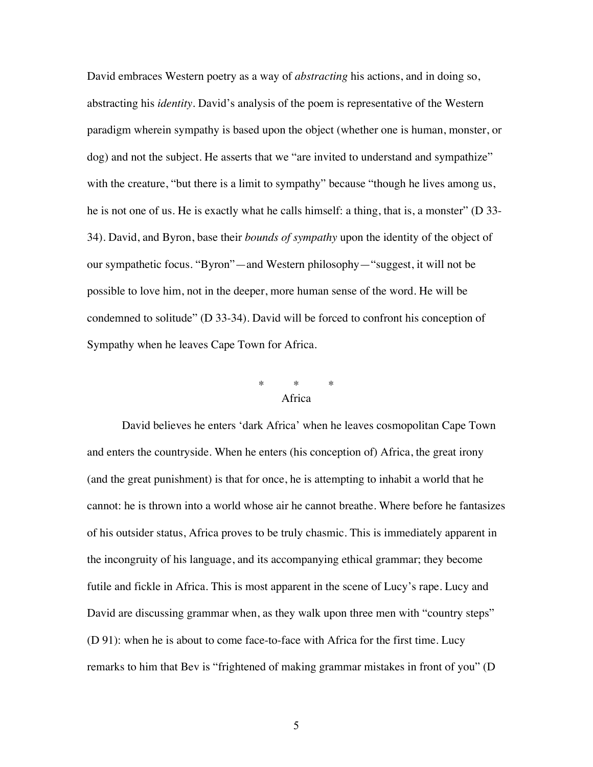David embraces Western poetry as a way of *abstracting* his actions, and in doing so, abstracting his *identity*. David's analysis of the poem is representative of the Western paradigm wherein sympathy is based upon the object (whether one is human, monster, or dog) and not the subject. He asserts that we "are invited to understand and sympathize" with the creature, "but there is a limit to sympathy" because "though he lives among us, he is not one of us. He is exactly what he calls himself: a thing, that is, a monster" (D 33- 34). David, and Byron, base their *bounds of sympathy* upon the identity of the object of our sympathetic focus. "Byron"—and Western philosophy—"suggest, it will not be possible to love him, not in the deeper, more human sense of the word. He will be condemned to solitude" (D 33-34). David will be forced to confront his conception of Sympathy when he leaves Cape Town for Africa.

## \* \* \* Africa

David believes he enters 'dark Africa' when he leaves cosmopolitan Cape Town and enters the countryside. When he enters (his conception of) Africa, the great irony (and the great punishment) is that for once, he is attempting to inhabit a world that he cannot: he is thrown into a world whose air he cannot breathe. Where before he fantasizes of his outsider status, Africa proves to be truly chasmic. This is immediately apparent in the incongruity of his language, and its accompanying ethical grammar; they become futile and fickle in Africa. This is most apparent in the scene of Lucy's rape. Lucy and David are discussing grammar when, as they walk upon three men with "country steps" (D 91): when he is about to come face-to-face with Africa for the first time. Lucy remarks to him that Bev is "frightened of making grammar mistakes in front of you" (D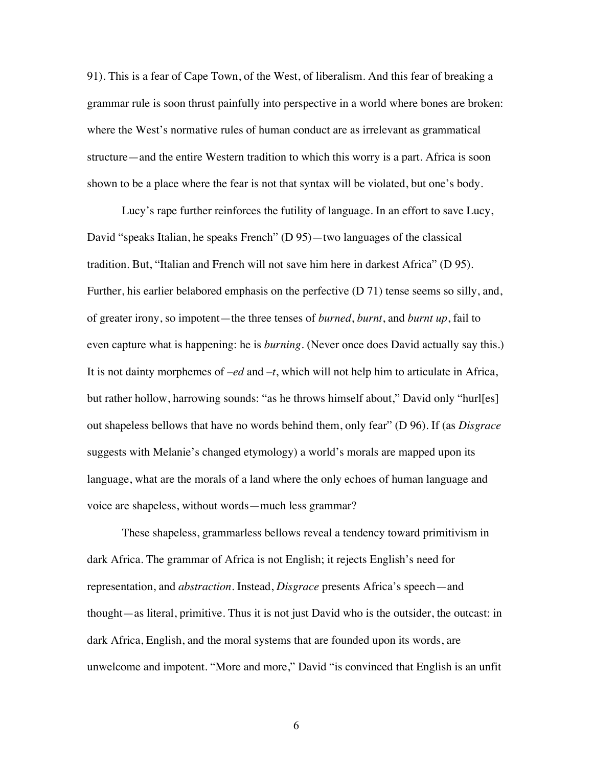91). This is a fear of Cape Town, of the West, of liberalism. And this fear of breaking a grammar rule is soon thrust painfully into perspective in a world where bones are broken: where the West's normative rules of human conduct are as irrelevant as grammatical structure—and the entire Western tradition to which this worry is a part. Africa is soon shown to be a place where the fear is not that syntax will be violated, but one's body.

Lucy's rape further reinforces the futility of language. In an effort to save Lucy, David "speaks Italian, he speaks French" (D 95)—two languages of the classical tradition. But, "Italian and French will not save him here in darkest Africa" (D 95). Further, his earlier belabored emphasis on the perfective (D 71) tense seems so silly, and, of greater irony, so impotent—the three tenses of *burned*, *burnt*, and *burnt up*, fail to even capture what is happening: he is *burning*. (Never once does David actually say this.) It is not dainty morphemes of *–ed* and *–t*, which will not help him to articulate in Africa, but rather hollow, harrowing sounds: "as he throws himself about," David only "hurl[es] out shapeless bellows that have no words behind them, only fear" (D 96). If (as *Disgrace* suggests with Melanie's changed etymology) a world's morals are mapped upon its language, what are the morals of a land where the only echoes of human language and voice are shapeless, without words—much less grammar?

These shapeless, grammarless bellows reveal a tendency toward primitivism in dark Africa. The grammar of Africa is not English; it rejects English's need for representation, and *abstraction*. Instead, *Disgrace* presents Africa's speech—and thought—as literal, primitive. Thus it is not just David who is the outsider, the outcast: in dark Africa, English, and the moral systems that are founded upon its words, are unwelcome and impotent. "More and more," David "is convinced that English is an unfit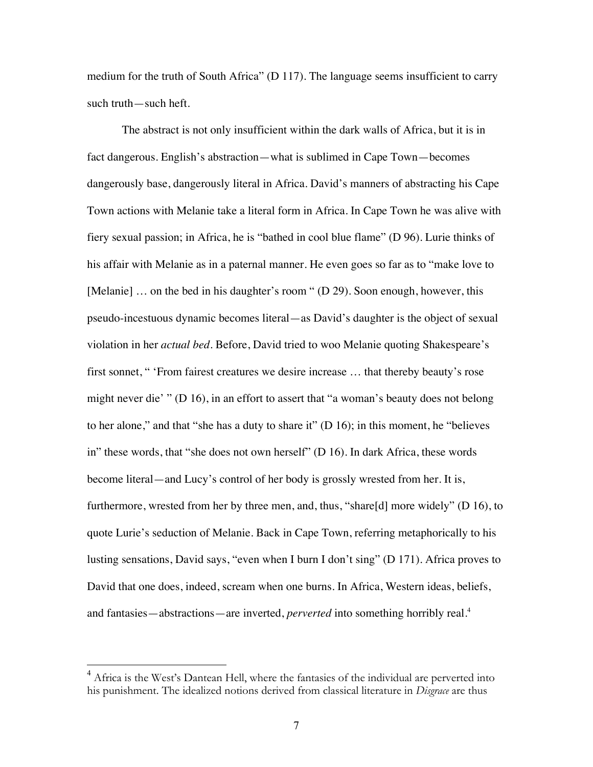medium for the truth of South Africa" (D 117). The language seems insufficient to carry such truth—such heft.

The abstract is not only insufficient within the dark walls of Africa, but it is in fact dangerous. English's abstraction—what is sublimed in Cape Town—becomes dangerously base, dangerously literal in Africa. David's manners of abstracting his Cape Town actions with Melanie take a literal form in Africa. In Cape Town he was alive with fiery sexual passion; in Africa, he is "bathed in cool blue flame" (D 96). Lurie thinks of his affair with Melanie as in a paternal manner. He even goes so far as to "make love to [Melanie] ... on the bed in his daughter's room " (D 29). Soon enough, however, this pseudo-incestuous dynamic becomes literal—as David's daughter is the object of sexual violation in her *actual bed*. Before, David tried to woo Melanie quoting Shakespeare's first sonnet, " 'From fairest creatures we desire increase … that thereby beauty's rose might never die' " (D 16), in an effort to assert that "a woman's beauty does not belong to her alone," and that "she has a duty to share it" (D 16); in this moment, he "believes in" these words, that "she does not own herself" (D 16). In dark Africa, these words become literal—and Lucy's control of her body is grossly wrested from her. It is, furthermore, wrested from her by three men, and, thus, "share[d] more widely" (D 16), to quote Lurie's seduction of Melanie. Back in Cape Town, referring metaphorically to his lusting sensations, David says, "even when I burn I don't sing" (D 171). Africa proves to David that one does, indeed, scream when one burns. In Africa, Western ideas, beliefs, and fantasies—abstractions—are inverted, *perverted* into something horribly real.4

 <sup>4</sup> Africa is the West's Dantean Hell, where the fantasies of the individual are perverted into his punishment. The idealized notions derived from classical literature in *Disgrace* are thus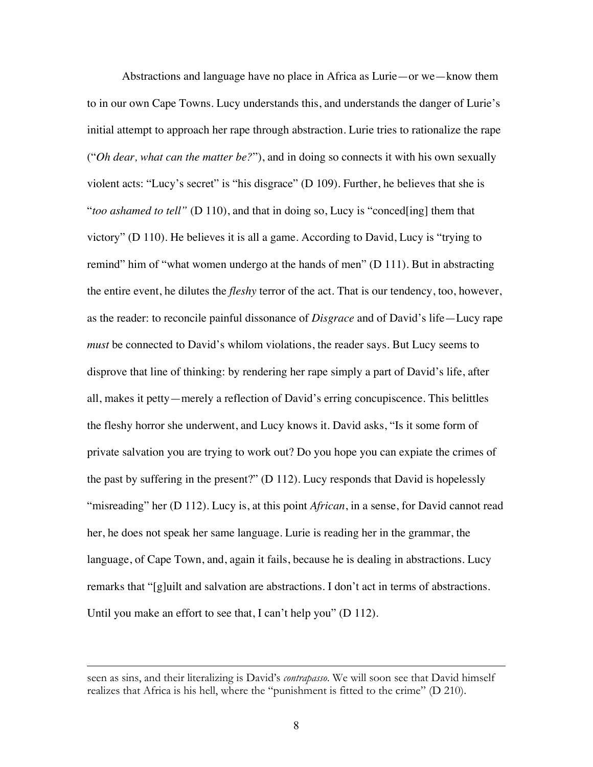Abstractions and language have no place in Africa as Lurie—or we—know them to in our own Cape Towns. Lucy understands this, and understands the danger of Lurie's initial attempt to approach her rape through abstraction. Lurie tries to rationalize the rape ("*Oh dear, what can the matter be?*"), and in doing so connects it with his own sexually violent acts: "Lucy's secret" is "his disgrace" (D 109). Further, he believes that she is "*too ashamed to tell"* (D 110), and that in doing so, Lucy is "conced[ing] them that victory" (D 110). He believes it is all a game. According to David, Lucy is "trying to remind" him of "what women undergo at the hands of men" (D 111). But in abstracting the entire event, he dilutes the *fleshy* terror of the act. That is our tendency, too, however, as the reader: to reconcile painful dissonance of *Disgrace* and of David's life—Lucy rape *must* be connected to David's whilom violations, the reader says. But Lucy seems to disprove that line of thinking: by rendering her rape simply a part of David's life, after all, makes it petty—merely a reflection of David's erring concupiscence. This belittles the fleshy horror she underwent, and Lucy knows it. David asks, "Is it some form of private salvation you are trying to work out? Do you hope you can expiate the crimes of the past by suffering in the present?" (D 112). Lucy responds that David is hopelessly "misreading" her (D 112). Lucy is, at this point *African*, in a sense, for David cannot read her, he does not speak her same language. Lurie is reading her in the grammar, the language, of Cape Town, and, again it fails, because he is dealing in abstractions. Lucy remarks that "[g]uilt and salvation are abstractions. I don't act in terms of abstractions. Until you make an effort to see that, I can't help you" (D 112).

 $\overline{a}$ 

seen as sins, and their literalizing is David's *contrapasso*. We will soon see that David himself realizes that Africa is his hell, where the "punishment is fitted to the crime" (D 210).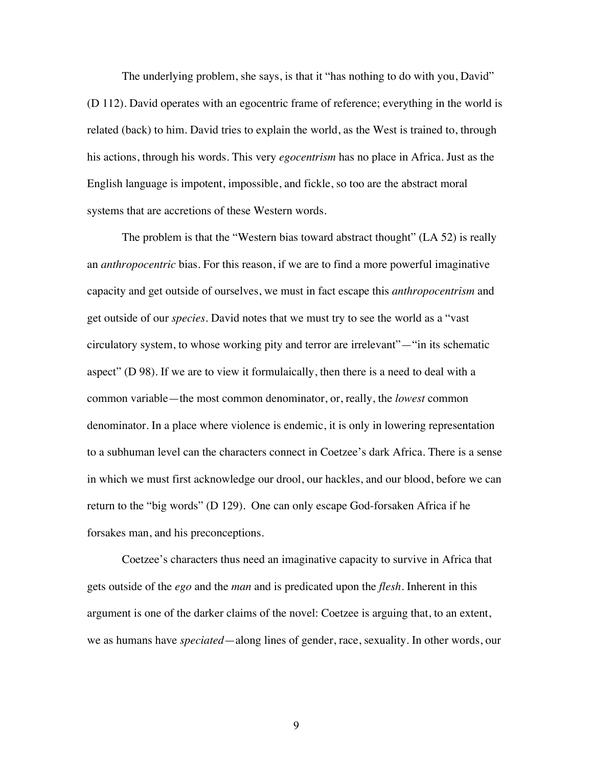The underlying problem, she says, is that it "has nothing to do with you, David" (D 112). David operates with an egocentric frame of reference; everything in the world is related (back) to him. David tries to explain the world, as the West is trained to, through his actions, through his words. This very *egocentrism* has no place in Africa. Just as the English language is impotent, impossible, and fickle, so too are the abstract moral systems that are accretions of these Western words.

The problem is that the "Western bias toward abstract thought" (LA 52) is really an *anthropocentric* bias. For this reason, if we are to find a more powerful imaginative capacity and get outside of ourselves, we must in fact escape this *anthropocentrism* and get outside of our *species*. David notes that we must try to see the world as a "vast circulatory system, to whose working pity and terror are irrelevant"—"in its schematic aspect" (D 98). If we are to view it formulaically, then there is a need to deal with a common variable—the most common denominator, or, really, the *lowest* common denominator. In a place where violence is endemic, it is only in lowering representation to a subhuman level can the characters connect in Coetzee's dark Africa. There is a sense in which we must first acknowledge our drool, our hackles, and our blood, before we can return to the "big words" (D 129). One can only escape God-forsaken Africa if he forsakes man, and his preconceptions.

Coetzee's characters thus need an imaginative capacity to survive in Africa that gets outside of the *ego* and the *man* and is predicated upon the *flesh*. Inherent in this argument is one of the darker claims of the novel: Coetzee is arguing that, to an extent, we as humans have *speciated*—along lines of gender, race, sexuality. In other words, our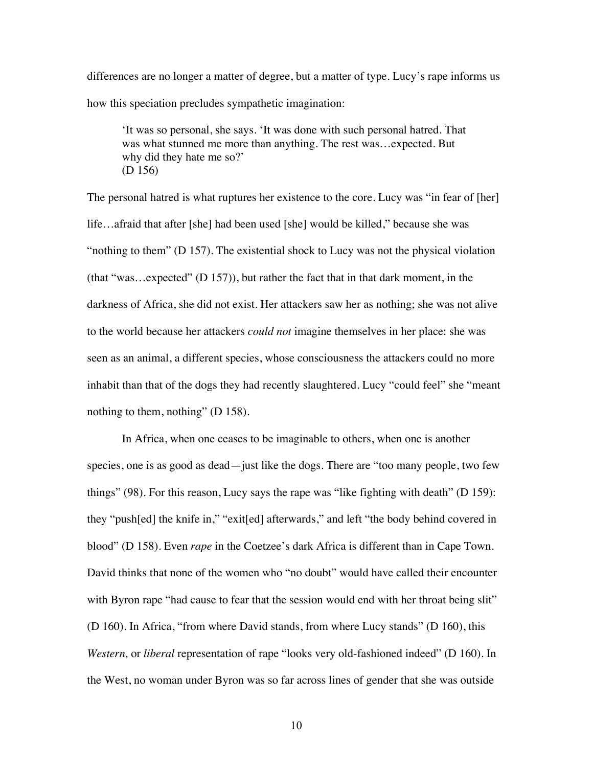differences are no longer a matter of degree, but a matter of type. Lucy's rape informs us how this speciation precludes sympathetic imagination:

'It was so personal, she says. 'It was done with such personal hatred. That was what stunned me more than anything. The rest was…expected. But why did they hate me so?' (D 156)

The personal hatred is what ruptures her existence to the core. Lucy was "in fear of [her] life…afraid that after [she] had been used [she] would be killed," because she was "nothing to them" (D 157). The existential shock to Lucy was not the physical violation (that "was…expected" (D 157)), but rather the fact that in that dark moment, in the darkness of Africa, she did not exist. Her attackers saw her as nothing; she was not alive to the world because her attackers *could not* imagine themselves in her place: she was seen as an animal, a different species, whose consciousness the attackers could no more inhabit than that of the dogs they had recently slaughtered. Lucy "could feel" she "meant nothing to them, nothing" (D 158).

In Africa, when one ceases to be imaginable to others, when one is another species, one is as good as dead—just like the dogs. There are "too many people, two few things" (98). For this reason, Lucy says the rape was "like fighting with death" (D 159): they "push[ed] the knife in," "exit[ed] afterwards," and left "the body behind covered in blood" (D 158). Even *rape* in the Coetzee's dark Africa is different than in Cape Town. David thinks that none of the women who "no doubt" would have called their encounter with Byron rape "had cause to fear that the session would end with her throat being slit" (D 160). In Africa, "from where David stands, from where Lucy stands" (D 160), this *Western,* or *liberal* representation of rape "looks very old-fashioned indeed" (D 160). In the West, no woman under Byron was so far across lines of gender that she was outside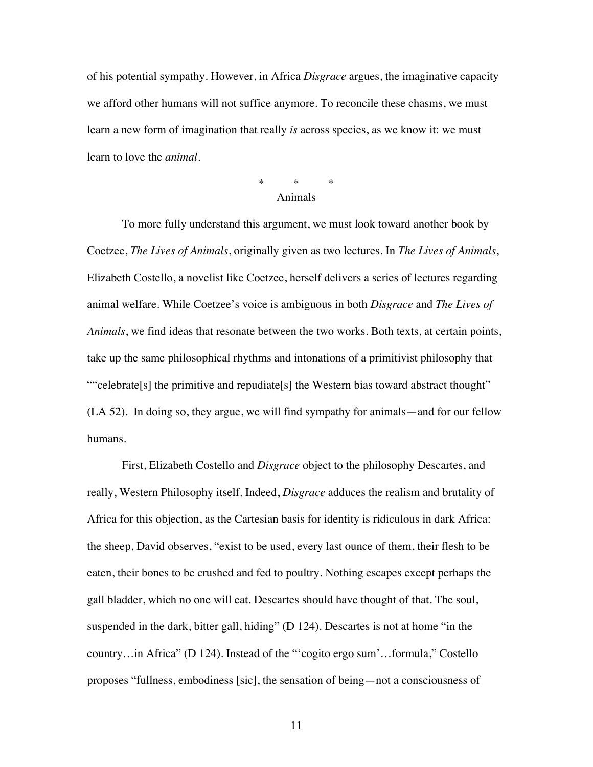of his potential sympathy. However, in Africa *Disgrace* argues, the imaginative capacity we afford other humans will not suffice anymore. To reconcile these chasms, we must learn a new form of imagination that really *is* across species, as we know it: we must learn to love the *animal*.

#### \* \* \* Animals

To more fully understand this argument, we must look toward another book by Coetzee, *The Lives of Animals*, originally given as two lectures. In *The Lives of Animals*, Elizabeth Costello, a novelist like Coetzee, herself delivers a series of lectures regarding animal welfare. While Coetzee's voice is ambiguous in both *Disgrace* and *The Lives of Animals*, we find ideas that resonate between the two works. Both texts, at certain points, take up the same philosophical rhythms and intonations of a primitivist philosophy that ""celebrate[s] the primitive and repudiate[s] the Western bias toward abstract thought" (LA 52). In doing so, they argue, we will find sympathy for animals—and for our fellow humans.

First, Elizabeth Costello and *Disgrace* object to the philosophy Descartes, and really, Western Philosophy itself. Indeed, *Disgrace* adduces the realism and brutality of Africa for this objection, as the Cartesian basis for identity is ridiculous in dark Africa: the sheep, David observes, "exist to be used, every last ounce of them, their flesh to be eaten, their bones to be crushed and fed to poultry. Nothing escapes except perhaps the gall bladder, which no one will eat. Descartes should have thought of that. The soul, suspended in the dark, bitter gall, hiding" (D 124). Descartes is not at home "in the country…in Africa" (D 124). Instead of the "'cogito ergo sum'…formula," Costello proposes "fullness, embodiness [sic], the sensation of being—not a consciousness of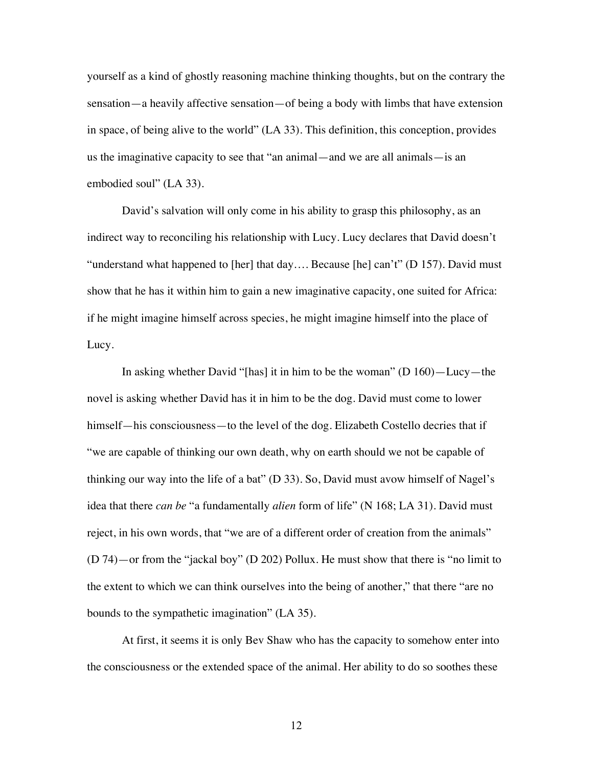yourself as a kind of ghostly reasoning machine thinking thoughts, but on the contrary the sensation—a heavily affective sensation—of being a body with limbs that have extension in space, of being alive to the world" (LA 33). This definition, this conception, provides us the imaginative capacity to see that "an animal—and we are all animals—is an embodied soul" (LA 33).

David's salvation will only come in his ability to grasp this philosophy, as an indirect way to reconciling his relationship with Lucy. Lucy declares that David doesn't "understand what happened to [her] that day…. Because [he] can't" (D 157). David must show that he has it within him to gain a new imaginative capacity, one suited for Africa: if he might imagine himself across species, he might imagine himself into the place of Lucy.

In asking whether David "[has] it in him to be the woman" (D 160)—Lucy—the novel is asking whether David has it in him to be the dog. David must come to lower himself—his consciousness—to the level of the dog. Elizabeth Costello decries that if "we are capable of thinking our own death, why on earth should we not be capable of thinking our way into the life of a bat" (D 33). So, David must avow himself of Nagel's idea that there *can be* "a fundamentally *alien* form of life" (N 168; LA 31). David must reject, in his own words, that "we are of a different order of creation from the animals" (D 74)—or from the "jackal boy" (D 202) Pollux. He must show that there is "no limit to the extent to which we can think ourselves into the being of another," that there "are no bounds to the sympathetic imagination" (LA 35).

At first, it seems it is only Bev Shaw who has the capacity to somehow enter into the consciousness or the extended space of the animal. Her ability to do so soothes these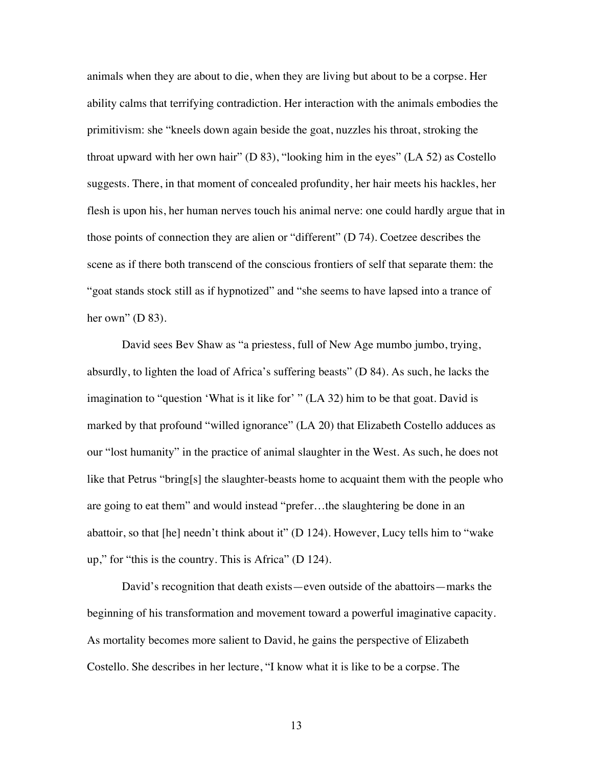animals when they are about to die, when they are living but about to be a corpse. Her ability calms that terrifying contradiction. Her interaction with the animals embodies the primitivism: she "kneels down again beside the goat, nuzzles his throat, stroking the throat upward with her own hair" (D 83), "looking him in the eyes" (LA 52) as Costello suggests. There, in that moment of concealed profundity, her hair meets his hackles, her flesh is upon his, her human nerves touch his animal nerve: one could hardly argue that in those points of connection they are alien or "different" (D 74). Coetzee describes the scene as if there both transcend of the conscious frontiers of self that separate them: the "goat stands stock still as if hypnotized" and "she seems to have lapsed into a trance of her own"  $(D 83)$ .

David sees Bev Shaw as "a priestess, full of New Age mumbo jumbo, trying, absurdly, to lighten the load of Africa's suffering beasts" (D 84). As such, he lacks the imagination to "question 'What is it like for' " (LA 32) him to be that goat. David is marked by that profound "willed ignorance" (LA 20) that Elizabeth Costello adduces as our "lost humanity" in the practice of animal slaughter in the West. As such, he does not like that Petrus "bring[s] the slaughter-beasts home to acquaint them with the people who are going to eat them" and would instead "prefer…the slaughtering be done in an abattoir, so that [he] needn't think about it" (D 124). However, Lucy tells him to "wake up," for "this is the country. This is Africa" (D 124).

David's recognition that death exists—even outside of the abattoirs—marks the beginning of his transformation and movement toward a powerful imaginative capacity. As mortality becomes more salient to David, he gains the perspective of Elizabeth Costello. She describes in her lecture, "I know what it is like to be a corpse. The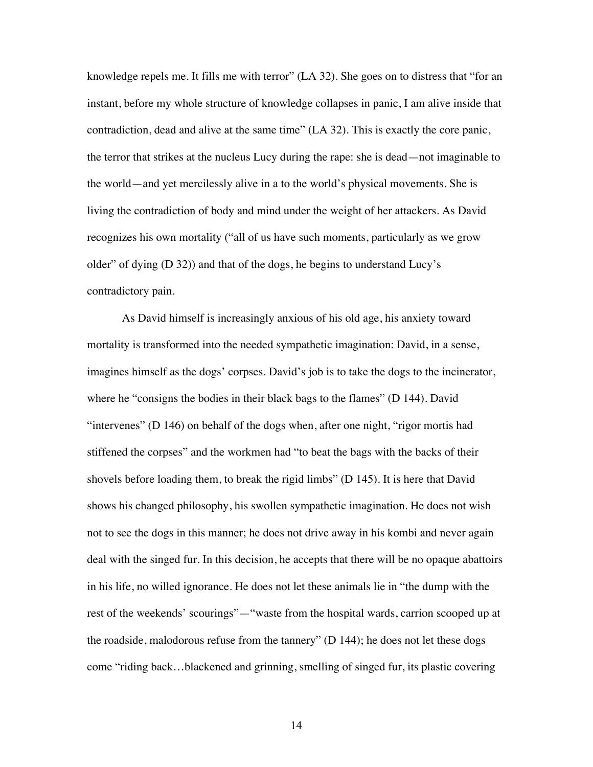knowledge repels me. It fills me with terror" (LA 32). She goes on to distress that "for an instant, before my whole structure of knowledge collapses in panic, I am alive inside that contradiction, dead and alive at the same time" (LA 32). This is exactly the core panic, the terror that strikes at the nucleus Lucy during the rape: she is dead—not imaginable to the world—and yet mercilessly alive in a to the world's physical movements. She is living the contradiction of body and mind under the weight of her attackers. As David recognizes his own mortality ("all of us have such moments, particularly as we grow older" of dying (D 32)) and that of the dogs, he begins to understand Lucy's contradictory pain.

As David himself is increasingly anxious of his old age, his anxiety toward mortality is transformed into the needed sympathetic imagination: David, in a sense, imagines himself as the dogs' corpses. David's job is to take the dogs to the incinerator, where he "consigns the bodies in their black bags to the flames" (D 144). David "intervenes" (D 146) on behalf of the dogs when, after one night, "rigor mortis had stiffened the corpses" and the workmen had "to beat the bags with the backs of their shovels before loading them, to break the rigid limbs" (D 145). It is here that David shows his changed philosophy, his swollen sympathetic imagination. He does not wish not to see the dogs in this manner; he does not drive away in his kombi and never again deal with the singed fur. In this decision, he accepts that there will be no opaque abattoirs in his life, no willed ignorance. He does not let these animals lie in "the dump with the rest of the weekends' scourings"—"waste from the hospital wards, carrion scooped up at the roadside, malodorous refuse from the tannery" (D 144); he does not let these dogs come "riding back…blackened and grinning, smelling of singed fur, its plastic covering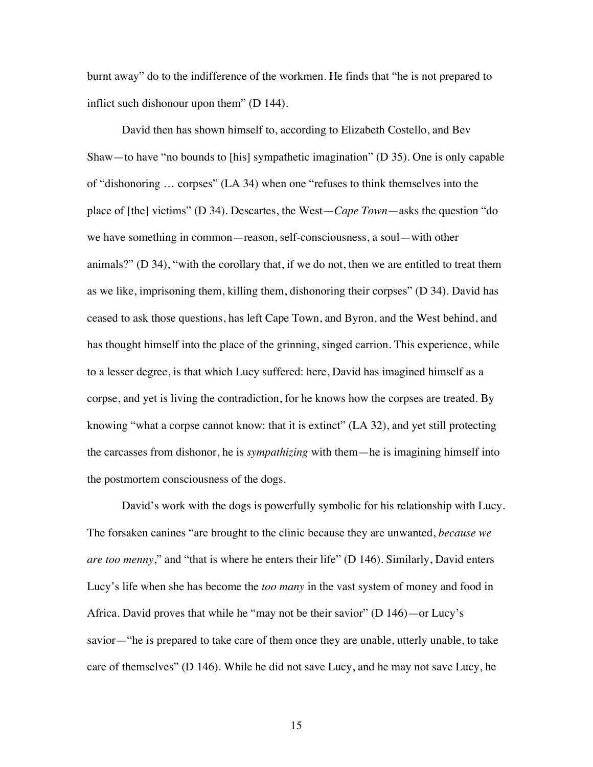burnt away" do to the indifference of the workmen. He finds that "he is not prepared to inflict such dishonour upon them" (D 144).

David then has shown himself to, according to Elizabeth Costello, and Bev Shaw—to have "no bounds to [his] sympathetic imagination" (D 35). One is only capable of "dishonoring … corpses" (LA 34) when one "refuses to think themselves into the place of [the] victims" (D 34). Descartes, the West—*Cape Town*—asks the question "do we have something in common—reason, self-consciousness, a soul—with other animals?" (D 34), "with the corollary that, if we do not, then we are entitled to treat them as we like, imprisoning them, killing them, dishonoring their corpses" (D 34). David has ceased to ask those questions, has left Cape Town, and Byron, and the West behind, and has thought himself into the place of the grinning, singed carrion. This experience, while to a lesser degree, is that which Lucy suffered: here, David has imagined himself as a corpse, and yet is living the contradiction, for he knows how the corpses are treated. By knowing "what a corpse cannot know: that it is extinct" (LA 32), and yet still protecting the carcasses from dishonor, he is *sympathizing* with them—he is imagining himself into the postmortem consciousness of the dogs.

David's work with the dogs is powerfully symbolic for his relationship with Lucy. The forsaken canines "are brought to the clinic because they are unwanted, *because we are too menny*," and "that is where he enters their life" (D 146). Similarly, David enters Lucy's life when she has become the *too many* in the vast system of money and food in Africa. David proves that while he "may not be their savior" (D 146)—or Lucy's savior—"he is prepared to take care of them once they are unable, utterly unable, to take care of themselves" (D 146). While he did not save Lucy, and he may not save Lucy, he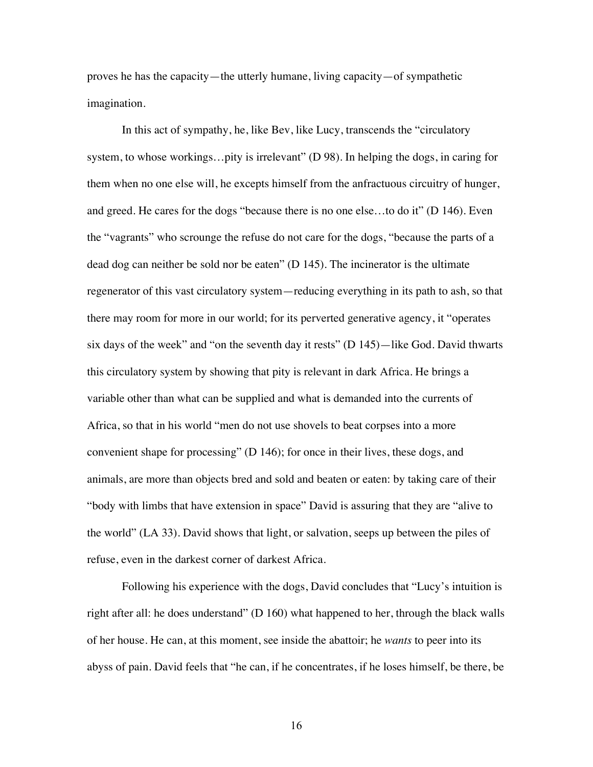proves he has the capacity—the utterly humane, living capacity—of sympathetic imagination.

In this act of sympathy, he, like Bev, like Lucy, transcends the "circulatory system, to whose workings...pity is irrelevant" (D 98). In helping the dogs, in caring for them when no one else will, he excepts himself from the anfractuous circuitry of hunger, and greed. He cares for the dogs "because there is no one else…to do it" (D 146). Even the "vagrants" who scrounge the refuse do not care for the dogs, "because the parts of a dead dog can neither be sold nor be eaten" (D 145). The incinerator is the ultimate regenerator of this vast circulatory system—reducing everything in its path to ash, so that there may room for more in our world; for its perverted generative agency, it "operates six days of the week" and "on the seventh day it rests" (D 145)—like God. David thwarts this circulatory system by showing that pity is relevant in dark Africa. He brings a variable other than what can be supplied and what is demanded into the currents of Africa, so that in his world "men do not use shovels to beat corpses into a more convenient shape for processing" (D 146); for once in their lives, these dogs, and animals, are more than objects bred and sold and beaten or eaten: by taking care of their "body with limbs that have extension in space" David is assuring that they are "alive to the world" (LA 33). David shows that light, or salvation, seeps up between the piles of refuse, even in the darkest corner of darkest Africa.

Following his experience with the dogs, David concludes that "Lucy's intuition is right after all: he does understand"  $(D 160)$  what happened to her, through the black walls of her house. He can, at this moment, see inside the abattoir; he *wants* to peer into its abyss of pain. David feels that "he can, if he concentrates, if he loses himself, be there, be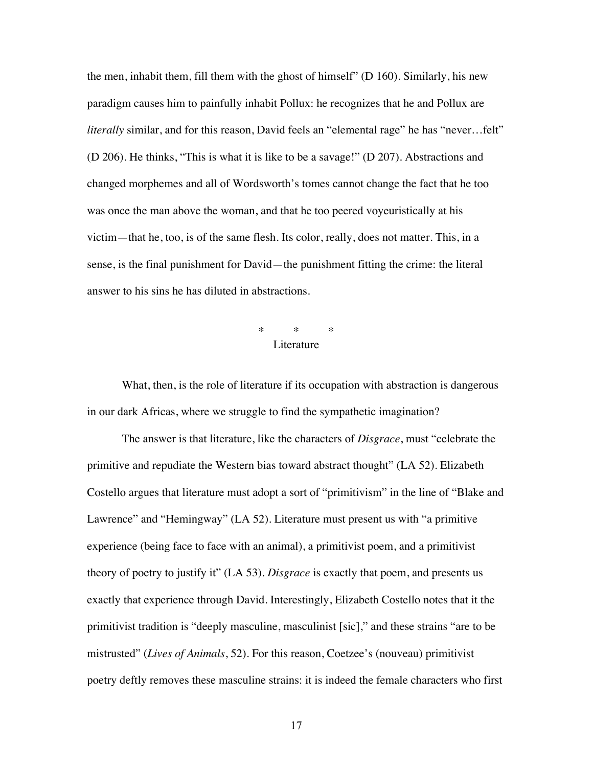the men, inhabit them, fill them with the ghost of himself" (D 160). Similarly, his new paradigm causes him to painfully inhabit Pollux: he recognizes that he and Pollux are *literally* similar, and for this reason, David feels an "elemental rage" he has "never...felt" (D 206). He thinks, "This is what it is like to be a savage!" (D 207). Abstractions and changed morphemes and all of Wordsworth's tomes cannot change the fact that he too was once the man above the woman, and that he too peered voyeuristically at his victim—that he, too, is of the same flesh. Its color, really, does not matter. This, in a sense, is the final punishment for David—the punishment fitting the crime: the literal answer to his sins he has diluted in abstractions.

## \* \* \* **Literature**

What, then, is the role of literature if its occupation with abstraction is dangerous in our dark Africas, where we struggle to find the sympathetic imagination?

The answer is that literature, like the characters of *Disgrace*, must "celebrate the primitive and repudiate the Western bias toward abstract thought" (LA 52). Elizabeth Costello argues that literature must adopt a sort of "primitivism" in the line of "Blake and Lawrence" and "Hemingway" (LA 52). Literature must present us with "a primitive experience (being face to face with an animal), a primitivist poem, and a primitivist theory of poetry to justify it" (LA 53). *Disgrace* is exactly that poem, and presents us exactly that experience through David. Interestingly, Elizabeth Costello notes that it the primitivist tradition is "deeply masculine, masculinist [sic]," and these strains "are to be mistrusted" (*Lives of Animals*, 52). For this reason, Coetzee's (nouveau) primitivist poetry deftly removes these masculine strains: it is indeed the female characters who first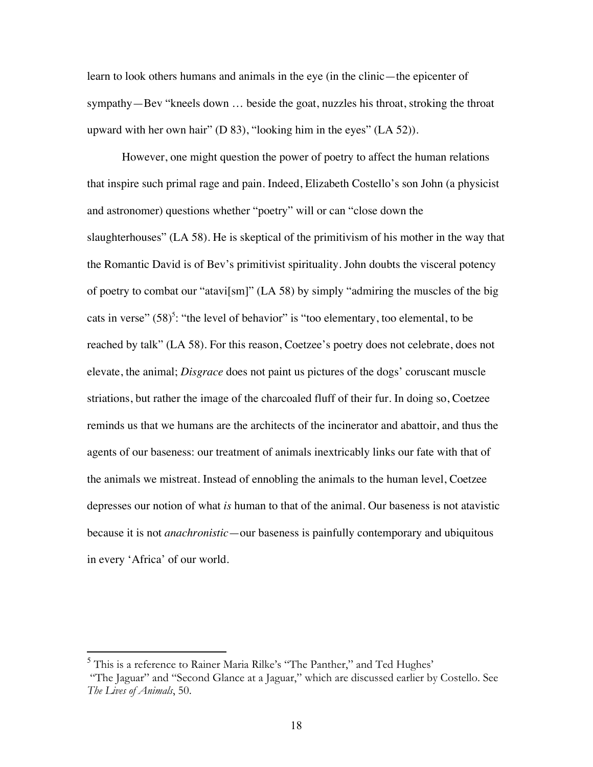learn to look others humans and animals in the eye (in the clinic—the epicenter of sympathy—Bev "kneels down … beside the goat, nuzzles his throat, stroking the throat upward with her own hair" (D 83), "looking him in the eyes" (LA 52)).

However, one might question the power of poetry to affect the human relations that inspire such primal rage and pain. Indeed, Elizabeth Costello's son John (a physicist and astronomer) questions whether "poetry" will or can "close down the slaughterhouses" (LA 58). He is skeptical of the primitivism of his mother in the way that the Romantic David is of Bev's primitivist spirituality. John doubts the visceral potency of poetry to combat our "atavi[sm]" (LA 58) by simply "admiring the muscles of the big cats in verse"  $(58)^5$ : "the level of behavior" is "too elementary, too elemental, to be reached by talk" (LA 58). For this reason, Coetzee's poetry does not celebrate, does not elevate, the animal; *Disgrace* does not paint us pictures of the dogs' coruscant muscle striations, but rather the image of the charcoaled fluff of their fur. In doing so, Coetzee reminds us that we humans are the architects of the incinerator and abattoir, and thus the agents of our baseness: our treatment of animals inextricably links our fate with that of the animals we mistreat. Instead of ennobling the animals to the human level, Coetzee depresses our notion of what *is* human to that of the animal. Our baseness is not atavistic because it is not *anachronistic*—our baseness is painfully contemporary and ubiquitous in every 'Africa' of our world.

 <sup>5</sup> This is a reference to Rainer Maria Rilke's "The Panther," and Ted Hughes' "The Jaguar" and "Second Glance at a Jaguar," which are discussed earlier by Costello. See *The Lives of Animals*, 50.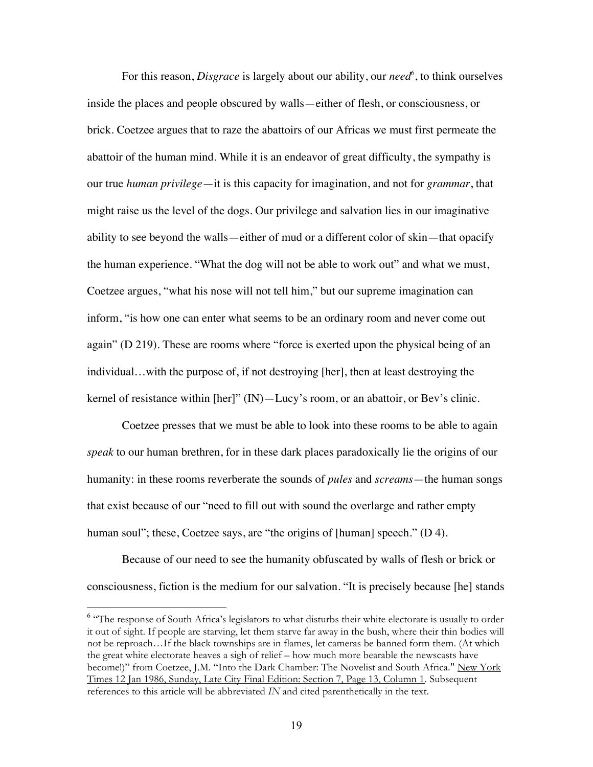For this reason, *Disgrace* is largely about our ability, our *need*<sup>6</sup>, to think ourselves inside the places and people obscured by walls—either of flesh, or consciousness, or brick. Coetzee argues that to raze the abattoirs of our Africas we must first permeate the abattoir of the human mind. While it is an endeavor of great difficulty, the sympathy is our true *human privilege*—it is this capacity for imagination, and not for *grammar*, that might raise us the level of the dogs. Our privilege and salvation lies in our imaginative ability to see beyond the walls—either of mud or a different color of skin—that opacify the human experience. "What the dog will not be able to work out" and what we must, Coetzee argues, "what his nose will not tell him," but our supreme imagination can inform, "is how one can enter what seems to be an ordinary room and never come out again" (D 219). These are rooms where "force is exerted upon the physical being of an individual…with the purpose of, if not destroying [her], then at least destroying the kernel of resistance within [her]" (IN)—Lucy's room, or an abattoir, or Bev's clinic.

Coetzee presses that we must be able to look into these rooms to be able to again *speak* to our human brethren, for in these dark places paradoxically lie the origins of our humanity: in these rooms reverberate the sounds of *pules* and *screams*—the human songs that exist because of our "need to fill out with sound the overlarge and rather empty human soul"; these, Coetzee says, are "the origins of [human] speech." (D 4).

Because of our need to see the humanity obfuscated by walls of flesh or brick or consciousness, fiction is the medium for our salvation. "It is precisely because [he] stands

 <sup>6</sup> <sup>6</sup> "The response of South Africa's legislators to what disturbs their white electorate is usually to order it out of sight. If people are starving, let them starve far away in the bush, where their thin bodies will not be reproach…If the black townships are in flames, let cameras be banned form them. (At which the great white electorate heaves a sigh of relief – how much more bearable the newscasts have become!)" from Coetzee, J.M. "Into the Dark Chamber: The Novelist and South Africa." New York Times 12 Jan 1986, Sunday, Late City Final Edition: Section 7, Page 13, Column 1. Subsequent references to this article will be abbreviated *IN* and cited parenthetically in the text.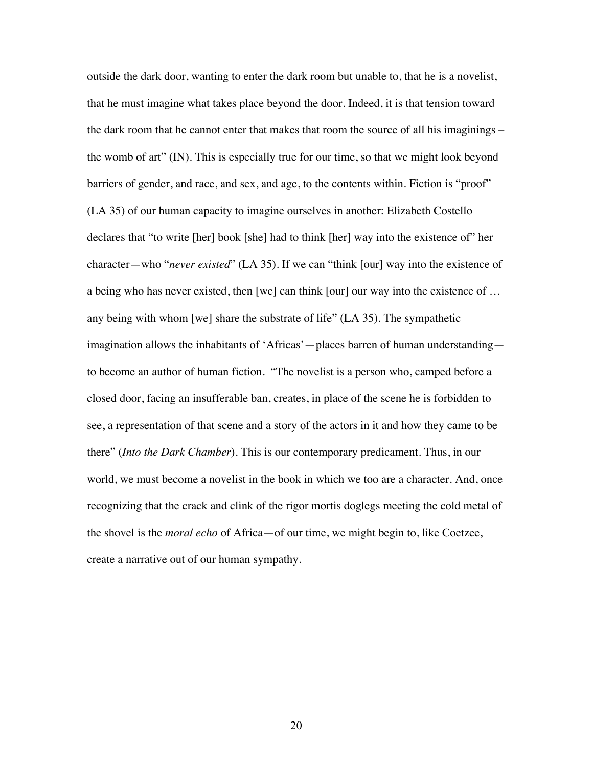outside the dark door, wanting to enter the dark room but unable to, that he is a novelist, that he must imagine what takes place beyond the door. Indeed, it is that tension toward the dark room that he cannot enter that makes that room the source of all his imaginings – the womb of art" (IN). This is especially true for our time, so that we might look beyond barriers of gender, and race, and sex, and age, to the contents within. Fiction is "proof" (LA 35) of our human capacity to imagine ourselves in another: Elizabeth Costello declares that "to write [her] book [she] had to think [her] way into the existence of" her character—who "*never existed*" (LA 35). If we can "think [our] way into the existence of a being who has never existed, then [we] can think [our] our way into the existence of … any being with whom [we] share the substrate of life" (LA 35). The sympathetic imagination allows the inhabitants of 'Africas'—places barren of human understanding to become an author of human fiction. "The novelist is a person who, camped before a closed door, facing an insufferable ban, creates, in place of the scene he is forbidden to see, a representation of that scene and a story of the actors in it and how they came to be there" (*Into the Dark Chamber*). This is our contemporary predicament. Thus, in our world, we must become a novelist in the book in which we too are a character. And, once recognizing that the crack and clink of the rigor mortis doglegs meeting the cold metal of the shovel is the *moral echo* of Africa—of our time, we might begin to, like Coetzee, create a narrative out of our human sympathy.